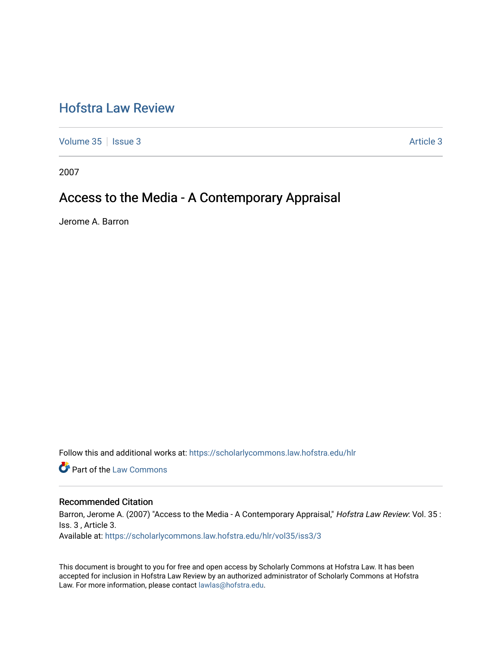# [Hofstra Law Review](https://scholarlycommons.law.hofstra.edu/hlr)

[Volume 35](https://scholarlycommons.law.hofstra.edu/hlr/vol35) | [Issue 3](https://scholarlycommons.law.hofstra.edu/hlr/vol35/iss3) Article 3

2007

# Access to the Media - A Contemporary Appraisal

Jerome A. Barron

Follow this and additional works at: [https://scholarlycommons.law.hofstra.edu/hlr](https://scholarlycommons.law.hofstra.edu/hlr?utm_source=scholarlycommons.law.hofstra.edu%2Fhlr%2Fvol35%2Fiss3%2F3&utm_medium=PDF&utm_campaign=PDFCoverPages)

**Part of the [Law Commons](http://network.bepress.com/hgg/discipline/578?utm_source=scholarlycommons.law.hofstra.edu%2Fhlr%2Fvol35%2Fiss3%2F3&utm_medium=PDF&utm_campaign=PDFCoverPages)** 

## Recommended Citation

Barron, Jerome A. (2007) "Access to the Media - A Contemporary Appraisal," Hofstra Law Review: Vol. 35 : Iss. 3 , Article 3. Available at: [https://scholarlycommons.law.hofstra.edu/hlr/vol35/iss3/3](https://scholarlycommons.law.hofstra.edu/hlr/vol35/iss3/3?utm_source=scholarlycommons.law.hofstra.edu%2Fhlr%2Fvol35%2Fiss3%2F3&utm_medium=PDF&utm_campaign=PDFCoverPages)

This document is brought to you for free and open access by Scholarly Commons at Hofstra Law. It has been accepted for inclusion in Hofstra Law Review by an authorized administrator of Scholarly Commons at Hofstra Law. For more information, please contact [lawlas@hofstra.edu.](mailto:lawlas@hofstra.edu)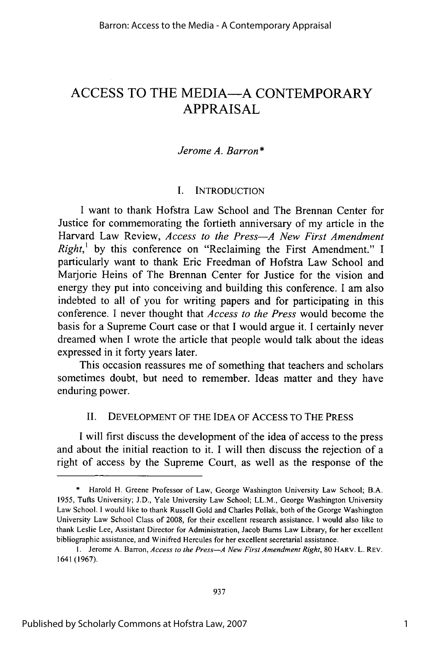# ACCESS TO THE MEDIA-A CONTEMPORARY APPRAISAL

## *Jerome A. Barron\**

## I. INTRODUCTION

I want to thank Hofstra Law School and The Brennan Center for Justice for commemorating the fortieth anniversary of my article in the Harvard Law Review, *Access to the Press-A New First Amendment Right,'* by this conference on "Reclaiming the First Amendment." I particularly want to thank Eric Freedman of Hofstra Law School and Marjorie Heins of The Brennan Center for Justice for the vision and energy they put into conceiving and building this conference. I am also indebted to all of you for writing papers and for participating in this conference. I never thought that *Access to the Press* would become the basis for a Supreme Court case or that I would argue it. I certainly never dreamed when I wrote the article that people would talk about the ideas expressed in it forty years later.

This occasion reassures me of something that teachers and scholars sometimes doubt, but need to remember. Ideas matter and they have enduring power.

## II. DEVELOPMENT OF THE IDEA OF ACCESS TO THE PRESS

I will first discuss the development of the idea of access to the press and about the initial reaction to it. I will then discuss the rejection of a right of access by the Supreme Court, as well as the response of the

Harold H. Greene Professor of Law, George Washington University Law School; B.A. **1955,** Tufts University; **J.D.,** Yale University Law School; LL.M., George Washington University Law School. **I** would like to thank Russell Gold and Charles Pollak, both of the George Washington University Law School Class of 2008, for their excellent research assistance. **I** would also like to thank Leslie Lee, Assistant Director for Administration, Jacob Bums Law Library, for her excellent bibliographic assistance, and Winifred Hercules for her excellent secretarial assistance.

**<sup>1.</sup>** Jerome A. Barron, *Access to the Press-A New First Amendment Right,* 80 HARV. L. REV. 1641 (1967).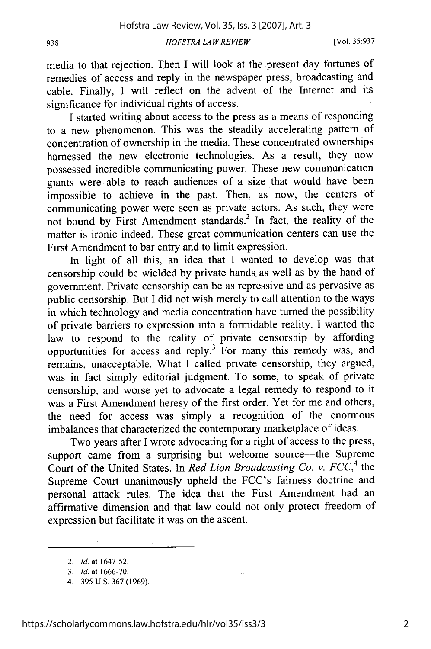[Vol. **35:937**

media to that rejection. Then I will look at the present day fortunes of remedies of access and reply in the newspaper press, broadcasting and cable. Finally, I will reflect on the advent of the Internet and its significance for individual rights of access.

I started writing about access to the press as a means of responding to a new phenomenon. This was the steadily accelerating pattern of concentration of ownership in the media. These concentrated ownerships harnessed the new electronic technologies. As a result, they now possessed incredible communicating power. These new communication giants were able to reach audiences of a size that would have been impossible to achieve in the past. Then, as now, the centers of communicating power were seen as private actors. As such, they were not bound by First Amendment standards.<sup>2</sup> In fact, the reality of the matter is ironic indeed. These great communication centers can use the First Amendment to bar entry and to limit expression.

In light of all this, an idea that I wanted to develop was that censorship could be wielded by private hands, as well as by the hand of government. Private censorship can be as repressive and as pervasive as public censorship. But I did not wish merely to call attention to the.ways in which technology and media concentration have turned the possibility of private barriers to expression into a formidable reality. I wanted the law to respond to the reality of private censorship by affording opportunities for access and reply.<sup>3</sup> For many this remedy was, and remains, unacceptable. What I called private censorship, they argued, was in fact simply editorial judgment. To some, to speak of private censorship, and worse yet to advocate a legal remedy to respond to it was a First Amendment heresy of the first order. Yet for me and others, the need for access was simply a recognition of the enormous imbalances that characterized the contemporary marketplace of ideas.

Two years after I wrote advocating for a right of access to the press, support came from a surprising but welcome source—the Supreme Court of the United States. In *Red Lion Broadcasting Co. v. FCC*,<sup>4</sup> the Supreme Court unanimously upheld the FCC's fairness doctrine and personal attack rules. The idea that the First Amendment had an affirmative dimension and that law could not only protect freedom of expression but facilitate it was on the ascent.

*<sup>2.</sup>* Id. at 1647-52.

*<sup>3.</sup> Id.* at 1666-70.

<sup>4. 395</sup> U.S. 367 (1969).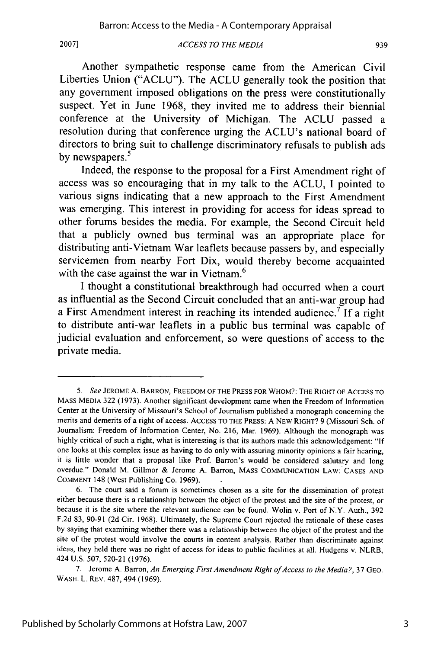#### *ACCESS TO THE MEDIA* **2007] 939**

Another sympathetic response came from the American Civil Liberties Union **("ACLU").** The **ACLU** generally took the position that any government imposed obligations on the press were constitutionally suspect. Yet in June **1968,** they invited me to address their biennial conference at the University of Michigan. The **ACLU** passed a resolution during that conference urging the ACLU's national board of directors to bring suit to challenge discriminatory refusals to publish ads by newspapers.<sup>5</sup>

Indeed, the response to the proposal for a First Amendment right of access was so encouraging that in my talk to the **ACLU, I** pointed to various signs indicating that a new approach to the First Amendment was emerging. This interest in providing for access for ideas spread to other forums besides the media. For example, the Second Circuit held that a publicly owned bus terminal was an appropriate place for distributing anti-Vietnam War leaflets because passers **by,** and especially servicemen from nearby Fort Dix, would thereby become acquainted with the case against the war in Vietnam.<sup>6</sup>

**I** thought a constitutional breakthrough had occurred when a court as influential as the Second Circuit concluded that an anti-war group had a First Amendment interest in reaching its intended audience.7 **If** a right to distribute anti-war leaflets in a public bus terminal was capable of judicial evaluation and enforcement, so were questions of access to the private media.

**<sup>5.</sup>** *See* **JEROME A. BARRON, FREEDOM OF THE PRESS FOR WHOM?: THE RIGHT OF ACCESS TO MASS MEDIA 322 (1973).** Another significant development came when the Freedom of Information Center at the University of Missouri's School of Journalism published a monograph concerning the merits and demerits of a right of access. **ACCESS** TO **THE** PRESS: **A NEW** RIGHT? **9** (Missouri Sch. of Journalism: Freedom of Information Center, No. **216,** Mar. **1969).** Although the monograph was **highly** critical of such a right, what is interesting is that its authors made this acknowledgement: **"If** one looks at this complex issue as having to do only with assuring minority opinions a fair hearing, it is little wonder that a proposal like Prof. Barron's would be considered salutary and long overdue." Donald M. Gillmor **&** Jerome **A.** Barron, **MASS COMMUNICATION** LAW: **CASES AND COMMENT** 148 (West Publishing Co. **1969).**

**<sup>6.</sup>** The **court** said a forum is sometimes chosen as a site for the dissemination of protest either because there is a relationship between the object of the protest and the site of the protest, or because it is the site where the relevant audience can be found. Wolin v. Port of N.Y. Auth., **392 F.2d 83, 90-91 (2d** Cir. **1968).** Ultimately, the Supreme Court rejected the rationale of these cases **by** saying that examining whether there was a relationship between the object of the protest and the site of the protest would involve the courts in content analysis. Rather than discriminate against ideas, they held there was no right of access for ideas to public facilities at all. Hudgens v. NLRB, 424 **U.S. 507, 520-21 (1976).**

**<sup>7.</sup>** Jerome **A.** Barron, *An Emerging First* Amendment *Right ofAccess to the Media?,* **37 GEO.** WASH. L. REv. 487, 494 **(1969).**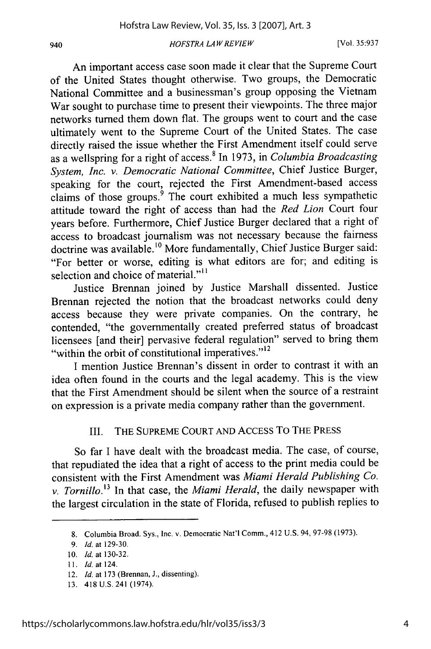An important access case soon made it clear that the Supreme Court of the United States thought otherwise. Two groups, the Democratic National Committee and a businessman's group opposing the Vietnam War sought to purchase time to present their viewpoints. The three major networks turned them down flat. The groups went to court and the case ultimately went to the Supreme Court of the United States. The case directly raised the issue whether the First Amendment itself could serve as a wellspring for a right of access. In 1973, in *Columbia Broadcasting System, Inc. v. Democratic National Committee,* Chief Justice Burger, speaking for the court, rejected the First Amendment-based access claims of those groups. $\frac{9}{9}$  The court exhibited a much less sympathetic attitude toward the right of access than had the *Red Lion* Court four years before. Furthermore, Chief Justice Burger declared that a right of access to broadcast journalism was not necessary because the fairness doctrine was available.<sup>10</sup> More fundamentally, Chief Justice Burger said: "For better or worse, editing is what editors are for; and editing is selection and choice of material."<sup>11</sup>

Justice Brennan joined by Justice Marshall dissented. Justice Brennan rejected the notion that the broadcast networks could deny access because they were private companies. On the contrary, he contended, "the governmentally created preferred status of broadcast licensees [and their] pervasive federal regulation" served to bring them "within the orbit of constitutional imperatives."<sup>12</sup>

I mention Justice Brennan's dissent in order to contrast it with an idea often found in the courts and the legal academy. This is the view that the First Amendment should be silent when the source of a restraint on expression is a private media company rather than the government.

## III. THE SUPREME COURT AND ACCESS TO THE PRESS

So far I have dealt with the broadcast media. The case, of course, that repudiated the idea that a right of access to the print media could be consistent with the First Amendment was *Miami Herald Publishing Co. v. Tornillo.13* In that case, the *Miami Herald,* the daily newspaper with the largest circulation in the state of Florida, refused to publish replies to

940

<sup>8.</sup> Columbia Broad. Sys., Inc. v. Democratic Nat'l Comm., 412 U.S. 94, 97-98 (1973).

<sup>9.</sup> *Id.* at 129-30.

<sup>10.</sup> *Id.* at 130-32.

<sup>11.</sup> *Id.* at 124.

<sup>12.</sup> *Id.* at 173 (Brennan, **J.,** dissenting).

<sup>13. 418</sup> U.S. 241 (1974).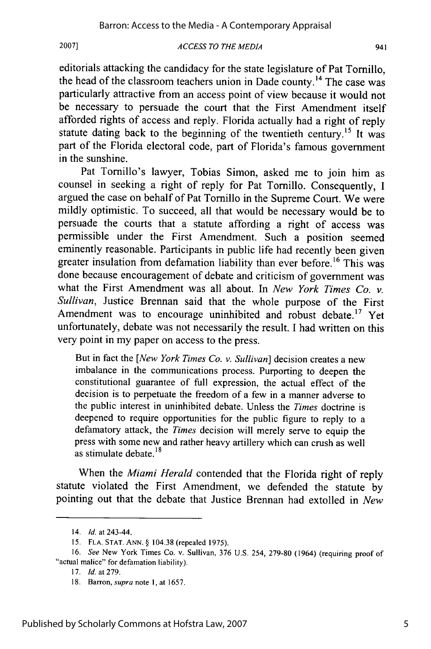#### *ACCESS TO THE MEDIA* **2007]** 941

editorials attacking the candidacy for the state legislature of Pat Tornillo, the head of the classroom teachers union in Dade county.14 The case was particularly attractive from an access point of view because it would not be necessary to persuade the court that the First Amendment itself afforded rights of access and reply. Florida actually had a right of reply statute dating back to the beginning of the twentieth century.<sup>15</sup> It was part of the Florida electoral code, part of Florida's famous government in the sunshine.

Pat Tornillo's lawyer, Tobias Simon, asked me to join him as counsel in seeking a right of reply for Pat Tornillo. Consequently, I argued the case on behalf of Pat Tornillo in the Supreme Court. We were mildly optimistic. To succeed, all that would be necessary would be to persuade the courts that a statute affording a right of access was permissible under the First Amendment. Such a position seemed eminently reasonable. Participants in public life had recently been given greater insulation from defamation liability than ever before.<sup>16</sup> This was done because encouragement of debate and criticism of government was what the First Amendment was all about. In *New York Times Co. v. Sullivan,* Justice Brennan said that the whole purpose of the First Amendment was to encourage uninhibited and robust debate.<sup>17</sup> Yet unfortunately, debate was not necessarily the result. I had written on this very point in my paper on access to the press.

But in fact the *[New York Times Co. v. Sullivan]* decision creates a new imbalance in the communications process. Purporting to deepen the constitutional guarantee of full expression, the actual effect of the decision is to perpetuate the freedom of a few in a manner adverse to the public interest in uninhibited debate. Unless the *Times* doctrine is deepened to require opportunities for the public figure to reply to a defamatory attack, the *Times* decision will merely serve to equip the press with some new and rather heavy artillery which can crush as well as stimulate debate. $18$ 

When the *Miami Herald* contended that the Florida right of reply statute violated the First Amendment, we defended the statute by pointing out that the debate that Justice Brennan had extolled in *New*

<sup>14.</sup> *Id.* at 243-44.

<sup>15.</sup> FLA. **STAT.** ANN. § 104.38 (repealed 1975).

<sup>16.</sup> *See* New York Times Co. v. Sullivan, 376 U.S. 254, 279-80 (1964) (requiring proof of "actual malice" for defamation liability).

<sup>17.</sup> *Id.* at 279.

<sup>18.</sup> Barron, *supra* note **1,** at 1657.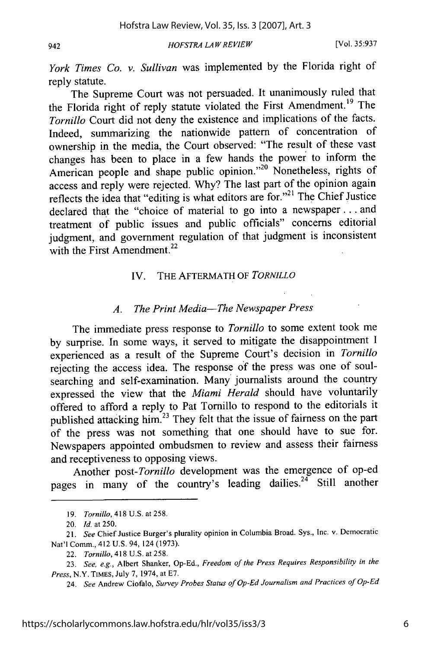942

*HOFSTRA LAW REVIEW*

*York Times Co. v. Sullivan* was implemented by the Florida right of reply statute.

The Supreme Court was not persuaded. It unanimously ruled that the Florida right of reply statute violated the First Amendment.<sup>19</sup> The *Tornillo* Court did not deny the existence and implications of the facts. Indeed, summarizing the nationwide pattern of concentration of ownership in the media, the Court observed: "The result of these vast changes has been to place in a few hands the power to inform the American people and shape public opinion."<sup>20</sup> Nonetheless, rights of access and reply were rejected. Why? The last part of the opinion again reflects the idea that "editing is what editors are for."<sup>21</sup> The Chief Justice declared that the "choice of material to go into a newspaper **...** and treatment of public issues and public officials" concerns editorial judgment, and government regulation of that judgment is inconsistent with the First Amendment.<sup>22</sup>

## IV. THE AFTERMATH OF *TORNILLO*

## *A. The Print Media-The Newspaper Press*

The immediate press response to *Tornillo* to some extent took me by surprise. In some ways, it served to mitigate the disappointment I experienced as a result of the Supreme Court's decision in *Tornillo* rejecting the access idea. The response of the press was one of soulsearching and self-examination. Many journalists around the country expressed the view that the *Miami Herald* should have voluntarily offered to afford a reply to Pat Tornillo to respond to the editorials it published attacking him.<sup>23</sup> They felt that the issue of fairness on the part of the press was not something that one should have to sue for. Newspapers appointed ombudsmen to review and assess their fairness and receptiveness to opposing views.

Another *post-Tornillo* development was the emergence of op-ed pages in many of the country's leading dailies.<sup>24</sup> Still another

<sup>19.</sup> *Tornillo,* 418 U.S. at 258.

<sup>20.</sup> *Id.* at 250.

<sup>21.</sup> *See* Chief Justice Burger's plurality opinion in Columbia Broad. Sys., Inc. v. Democratic Nat'l Comm., 412 U.S. 94, 124 (1973).

<sup>22.</sup> Tornillo, 418 U.S. at 258.

<sup>23.</sup> *See, e.g.,* Albert Shanker, Op-Ed., *Freedom of the Press Requires Responsibility in the Press,* N.Y. TIMES, July 7, 1974, at E7.

<sup>24.</sup> *See* Andrew Ciofalo, *Survey Probes Status of Op-Ed Journalism and Practices of Op-Ed*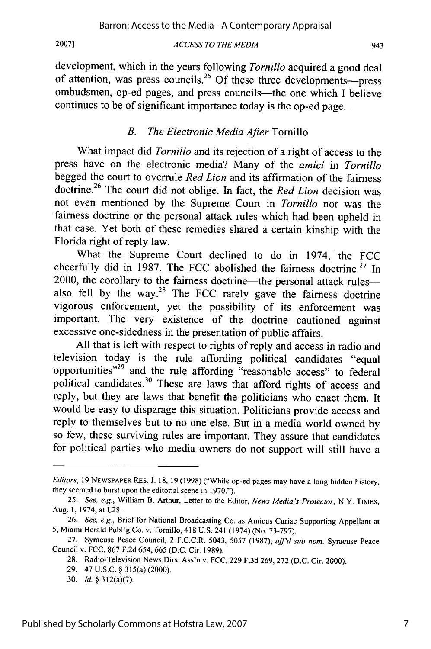#### *ACCESS TO THE MEDIA*

development, which in the years following *Tornillo* acquired a good deal of attention, was press councils.<sup>25</sup> Of these three developments---press ombudsmen, op-ed pages, and press councils—the one which I believe continues to be of significant importance today is the op-ed page.

## *B. The Electronic Media After* Tornillo

What impact did *Tornillo* and its rejection of a right of access to the press have on the electronic media? Many of the *amici* in *Tornillo* begged the court to overrule *Red Lion* and its affirmation of the fairness doctrine.26 The court did not oblige. In fact, the *Red Lion* decision was not even mentioned by the Supreme Court in *Tornillo* nor was the fairness doctrine or the personal attack rules which had been upheld in that case. Yet both of these remedies shared a certain kinship with the Florida right of reply law.

What the Supreme Court declined to do in 1974, the FCC cheerfully did in 1987. The FCC abolished the fairness doctrine.<sup>27</sup> In 2000, the corollary to the fairness doctrine-the personal attack rulesalso fell by the way.<sup>28</sup> The FCC rarely gave the fairness doctrine vigorous enforcement, yet the possibility of its enforcement was important. The very existence of the doctrine cautioned against excessive one-sidedness in the presentation of public affairs.

All that is left with respect to rights of reply and access in radio and television today is the rule affording political candidates "equal opportunities"<sup>29</sup> and the rule affording "reasonable access" to federal political candidates.<sup>30</sup> These are laws that afford rights of access and reply, but they are laws that benefit the politicians who enact them. It would be easy to disparage this situation. Politicians provide access and reply to themselves but to no one else. But in a media world owned by so few, these surviving rules are important. They assure that candidates for political parties who media owners do not support will still have a

*Editors,* 19 NEWSPAPER RES. J. 18, 19 (1998) ("While op-ed pages may have a long hidden history, they seemed to burst upon the editorial scene in 1970.").

<sup>25.</sup> *See, e.g.,* William B. Arthur, Letter to the Editor, *News Media's Protector,* N.Y. TIMES, Aug. **1,** 1974, at L28.

<sup>26.</sup> *See, e.g.,* Brief for National Broadcasting Co. as Amicus Curiae Supporting Appellant at 5, Miami Herald Publ'g Co. v. Tornillo, 418 U.S. 241 (1974) (No. 73-797).

<sup>27.</sup> Syracuse Peace Council, 2 F.C.C.R. 5043, 5057 (1987), *aff'd sub* nom. Syracuse Peace Council v. FCC, 867 F.2d 654, 665 (D.C. Cir. 1989).

<sup>28.</sup> Radio-Television News Dirs. Ass'n v. FCC, 229 F.3d 269, 272 (D.C. Cit. 2000).

<sup>29. 47</sup> U.S.C. § 315(a) (2000).

<sup>30.</sup> *Id.* § 312(a)(7).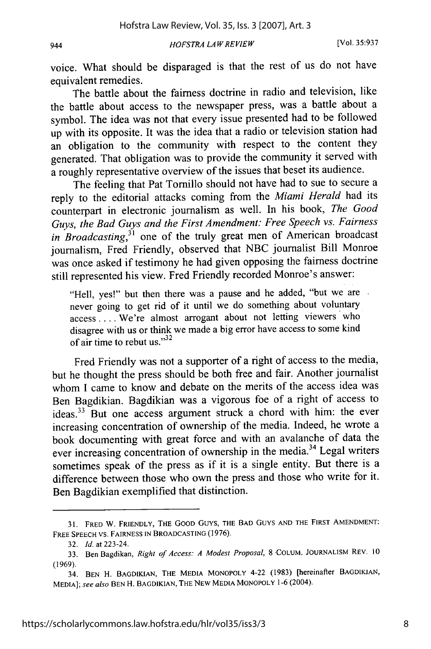voice. What should be disparaged is that the rest of us do not have equivalent remedies.

The battle about the fairness doctrine in radio and television, like the battle about access to the newspaper press, was a battle about a symbol. The idea was not that every issue presented had to be followed up with its opposite. It was the idea that a radio or television station had an obligation to the community with respect to the content they generated. That obligation was to provide the community it served with a roughly representative overview of the issues that beset its audience.

The feeling that Pat Tornillo should not have had to sue to secure a reply to the editorial attacks coming from the *Miami Herald* had its counterpart in electronic journalism as well. In his book, *The Good Guys, the Bad Guys and the First Amendment: Free Speech vs. Fairness in Broadcasting*,<sup>31</sup> one of the truly great men of American broadcast journalism, Fred Friendly, observed that NBC journalist Bill Monroe was once asked if testimony he had given opposing the fairness doctrine still represented his view. Fred Friendly recorded Monroe's answer:

"Hell, yes!" but then there was a pause and he added, "but we are never going to get rid of it until we do something about voluntary access .... We're almost arrogant about not letting viewers who disagree with us or think we made a big error have access to some kind of air time to rebut us."<sup>32</sup>

Fred Friendly was not a supporter of a right of access to the media, but he thought the press should be both free and fair. Another journalist whom I came to know and debate on the merits of the access idea was Ben Bagdikian. Bagdikian was a vigorous foe of a right of access to ideas.33 But one access argument struck a chord with him: the ever increasing concentration of ownership of the media. Indeed, he wrote a book documenting with great force and with an avalanche of data the ever increasing concentration of ownership in the media.<sup>34</sup> Legal writers sometimes speak of the press as if it is a single entity. But there is a difference between those who own the press and those who write for it. Ben Bagdikian exemplified that distinction.

**<sup>31.</sup>** FRED W. FRIENDLY, THE **GOOD** Guys, THE BAD GUYS **AND** THE FIRST **AMENDMENT:** FREE **SPEECH** VS. **FAIRNESS IN BROADCASTING** (1976).

<sup>32.</sup> *Id.* at 223-24.

<sup>33.</sup> Ben Bagdikan, *Right of Access: A Modest Proposal,* <sup>8</sup>**COLUM.** JOURNALISM REV. 10 (1969).

<sup>34.</sup> **BEN** H. **BAGDIKIAN,** THE **MEDIA MONOPOLY** 4-22 (1983) [hereinafter **BAGDIKIAN, MEDIA];** *see also* **BEN** H. BAGDIKIAN, THE **NEW MEDIA** MONOPOLY **1-6** (2004).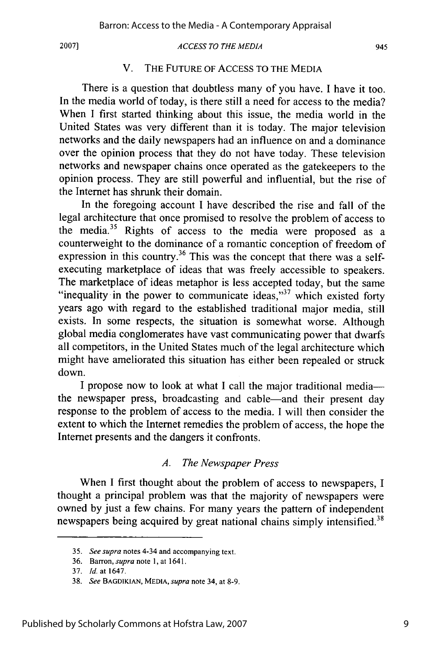#### *ACCESS TO THE MEDIA*

## V. THE FUTURE OF ACCESS TO THE MEDIA

There is a question that doubtless many of you have. I have it too. In the media world of today, is there still a need for access to the media? When I first started thinking about this issue, the media world in the United States was very different than it is today. The major television networks and the daily newspapers had an influence on and a dominance over the opinion process that they do not have today. These television networks and newspaper chains once operated as the gatekeepers to the opinion process. They are still powerful and influential, but the rise of the Internet has shrunk their domain.

In the foregoing account I have described the rise and fall of the legal architecture that once promised to resolve the problem of access to the media.<sup>35</sup> Rights of access to the media were proposed as a counterweight to the dominance of a romantic conception of freedom of expression in this country.<sup>36</sup> This was the concept that there was a selfexecuting marketplace of ideas that was freely accessible to speakers. The marketplace of ideas metaphor is less accepted today, but the same "inequality in the power to communicate ideas," $37$  which existed forty years ago with regard to the established traditional major media, still exists. In some respects, the situation is somewhat worse. Although global media conglomerates have vast communicating power that dwarfs all competitors, in the United States much of the legal architecture which might have ameliorated this situation has either been repealed or struck down.

I propose now to look at what I call the major traditional mediathe newspaper press, broadcasting and cable-and their present day response to the problem of access to the media. I will then consider the extent to which the Internet remedies the problem of access, the hope the Internet presents and the dangers it confronts.

## *A. The Newspaper Press*

When I first thought about the problem of access to newspapers, I thought a principal problem was that the majority of newspapers were owned by just a few chains. For many years the pattern of independent newspapers being acquired by great national chains simply intensified.<sup>38</sup>

<sup>35.</sup> *See supra* notes 4-34 and accompanying text.

<sup>36.</sup> Barron, *supra* note **1,** at 1641.

<sup>37.</sup> *Id.* at 1647.

<sup>38.</sup> *See* **BAGDIKIAN, MEDIA,** supra note 34, at 8-9.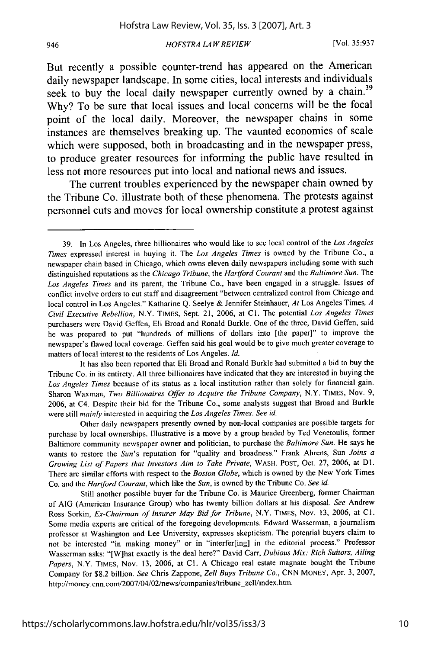But recently a possible counter-trend has appeared on the American daily newspaper landscape. In some cities, local interests and individuals seek to buy the local daily newspaper currently owned **by** a chain.39 **Why?** To be sure that local issues and local concerns will be the focal point of the local daily. Moreover, the newspaper chains in some instances are themselves breaking up. The vaunted economies of scale which were supposed, both in broadcasting and in the newspaper press, to produce greater resources for informing the public have resulted in less not more resources put into local and national news and issues.

The current troubles experienced **by** the newspaper chain owned **by** the Tribune Co. illustrate both of these phenomena. The protests against personnel cuts and moves for local ownership constitute a protest against

<sup>39.</sup> In Los Angeles, three billionaires who would like to see local control of the *Los Angeles Times* expressed interest in buying it. The *Los Angeles Times* is owned by the Tribune Co., a newspaper chain based in Chicago, which owns eleven daily newspapers including some with such distinguished reputations as the *Chicago Tribune,* the *Hartford Courant* and the *Baltimore Sun.* The *Los Angeles Times* and its parent, the Tribune Co., have been engaged in a struggle. Issues of conflict involve orders to cut staff and disagreement "between centralized control from Chicago and local control in Los Angeles." Katharine Q. Seelye & Jennifer Steinhauer, *At* Los Angeles Times, *A Civil Executive Rebellion,* N.Y. TIMES, Sept. 21, 2006, at **Cl.** The potential *Los Angeles Times* purchasers were David Geffen, Eli Broad and Ronald Burkle. One of the three, David Geffen, said he was prepared to put "hundreds of millions of dollars into [the paper]" to improve the newspaper's flawed local coverage. Geffen said his goal would be to give much greater coverage to matters of local interest to the residents of Los Angeles. *Id.*

It has also been reported that Eli Broad and Ronald Burkle had submitted a bid to buy the Tribune Co. in its entirety. All three billionaires have indicated that they are interested in buying the *Los Angeles Times* because of its status as a local institution rather than solely for financial gain. Sharon Waxman, *Two Billionaires Offer to Acquire the Tribune Company,* N.Y. TIMES, Nov. 9, 2006, at C4. Despite their bid for the Tribune Co., some analysts suggest that Broad and Burkle were still *mainly* interested in acquiring the *Los Angeles Times. See id.*

Other daily newspapers presently owned by non-local companies are possible targets for purchase by local ownerships. Illustrative is a move by a group headed by Ted Venetoulis, former Baltimore community newspaper owner and politician, to purchase the *Baltimore Sun.* He says he wants to restore the *Sun's* reputation for "quality and broadness." Frank Ahrens, Sun *Joins* a *Growing List of Papers that Investors Aim to Take Private,* WASH. POST, Oct. 27, 2006, at **DI.** There are similar efforts with respect to the *Boston Globe,* which is owned by the New York Times Co. and the *Hartford Courant,* which like the *Sun,* is owned by the Tribune Co. *See id.*

Still another possible buyer for the Tribune Co. is Maurice Greenberg, former Chairman of AIG (American Insurance Group) who has twenty billion dollars at his disposal. *See* Andrew Ross Sorkin, *Ex-Chairman of Insurer May Bid for Tribune,* N.Y. TIMES, Nov. 13, 2006, at **CI.** Some media experts are critical of the foregoing developments. Edward Wasserman, a journalism professor at Washington and Lee University, expresses skepticism. The potential buyers claim to not be interested "in making money" or in "interfer[ing] in the editorial process." Professor Wasserman asks: "[W]hat exactly is the deal here?" David Carr, *Dubious Mix: Rich Suitors, Ailing Papers,* N.Y. TIMES, Nov. 13, 2006, at **Cl.** A Chicago real estate magnate bought the Tribune Company for \$8.2 billion. *See* Chris Zappone, *Zell Buys Tribune Co.,* CNN MONEY, Apr. 3, 2007, http://money.cnn.com/2007/04/02/news/companies/tribune\_zell/index.htm.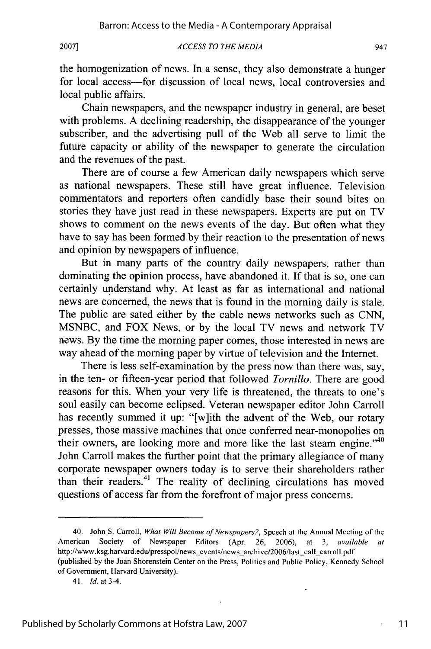#### *ACCESS TO THE MEDIA* **2007]** 947

the homogenization of news. In a sense, they also demonstrate a hunger for local access-for discussion of local news, local controversies and local public affairs.

Chain newspapers, and the newspaper industry in general, are beset with problems. A declining readership, the disappearance of the younger subscriber, and the advertising pull of the Web all serve to limit the future capacity or ability of the newspaper to generate the circulation and the revenues of the past.

There are of course a few American daily newspapers which serve as national newspapers. These still have great influence. Television commentators and reporters often candidly base their sound bites on stories they have just read in these newspapers. Experts are put on TV shows to comment on the news events of the day. But often what they have to say has been formed by their reaction to the presentation of news and opinion by newspapers of influence.

But in many parts of the country daily newspapers, rather than dominating the opinion process, have abandoned it. If that is so, one can certainly understand why. At least as far as international and national news are concerned, the news that is found in the morning daily is stale. The public are sated either by the cable news networks such as CNN, MSNBC, and FOX News, or by the local TV news and network TV news. By the time the morning paper comes, those interested in news are way ahead of the morning paper by virtue of television and the Internet.

There is less self-examination by the press now than there was, say, in the ten- or fifteen-year period that followed *Tornillo.* There are good reasons for this. When your very life is threatened, the threats to one's soul easily can become eclipsed. Veteran newspaper editor John Carroll has recently summed it up: "[w]ith the advent of the Web, our rotary presses, those massive machines that once conferred near-monopolies on their owners, are looking more and more like the last steam engine." $40$ John Carroll makes the further point that the primary allegiance of many corporate newspaper owners today is to serve their shareholders rather than their readers. 41 The reality of declining circulations has moved questions of access far from the forefront of major press concerns.

11

<sup>40.</sup> John S. Carroll, *What Will Become of Newspapers?,* Speech at the Annual Meeting of the American Society of Newspaper Editors (Apr. 26, 2006), at 3, *available at* http://www.ksg.harvard.edu/presspol/news\_events/news\_archive/2006/last\_call\_carroll.pdf (published by the Joan Shorenstein Center on the Press, Politics and Public Policy, Kennedy School of Government, Harvard University).

*<sup>41.</sup> Id.* at 3-4.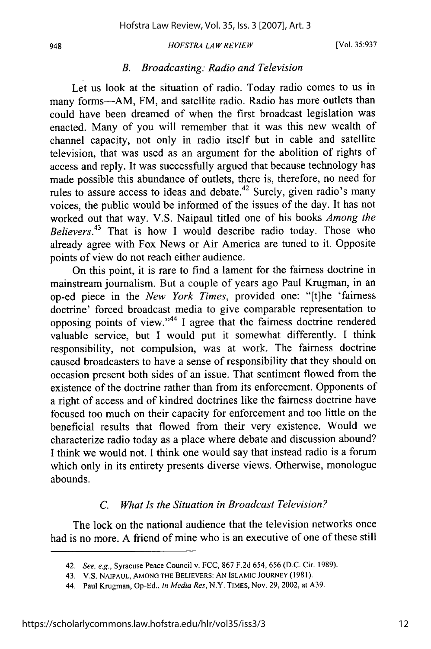#### *B. Broadcasting: Radio and Television*

Let us look at the situation of radio. Today radio comes to us in many forms-AM, FM, and satellite radio. Radio has more outlets than could have been dreamed of when the first broadcast legislation was enacted. Many of you will remember that it was this new wealth of channel capacity, not only in radio itself but in cable and satellite television, that was used as an argument for the abolition of rights of access and reply. It was successfully argued that because technology has made possible this abundance of outlets, there is, therefore, no need for rules to assure access to ideas and debate.<sup>42</sup> Surely, given radio's many voices, the public would be informed of the issues of the day. It has not worked out that way. V.S. Naipaul titled one of his books *Among the Believers.43* That is how I would describe radio today. Those who already agree with Fox News or Air America are tuned to it. Opposite points of view do not reach either audience.

On this point, it is rare to find a lament for the fairness doctrine in mainstream journalism. But a couple of years ago Paul Krugman, in an op-ed piece in the *New York Times,* provided one: "[t]he 'fairness doctrine' forced broadcast media to give comparable representation to opposing points of view."<sup>44</sup> I agree that the fairness doctrine rendered valuable service, but I would put it somewhat differently. I think responsibility, not compulsion, was at work. The fairness doctrine caused broadcasters to have a sense of responsibility that they should on occasion present both sides of an issue. That sentiment flowed from the existence of the doctrine rather than from its enforcement. Opponents of a right of access and of kindred doctrines like the fairness doctrine have focused too much on their capacity for enforcement and too little on the beneficial results that flowed from their very existence. Would we characterize radio today as a place where debate and discussion abound? I think we would not. I think one would say that instead radio is a forum which only in its entirety presents diverse views. Otherwise, monologue abounds.

## *C. What Is the Situation in Broadcast Television?*

The lock on the national audience that the television networks once had is no more. A friend of mine who is an executive of one of these still

<sup>42.</sup> See, e.g., Syracuse Peace Council v. FCC, 867 F.2d 654, 656 (D.C. Cir. 1989).

<sup>43.</sup> V.S. **NAIPAUL,** AMONG THE BELIEVERS: **AN ISLAMIC JOURNEY** (1981).

<sup>44.</sup> Paul Krugman, Op-Ed., *In Media Res,* N.Y. **TIMES,** Nov. 29, 2002, at A39.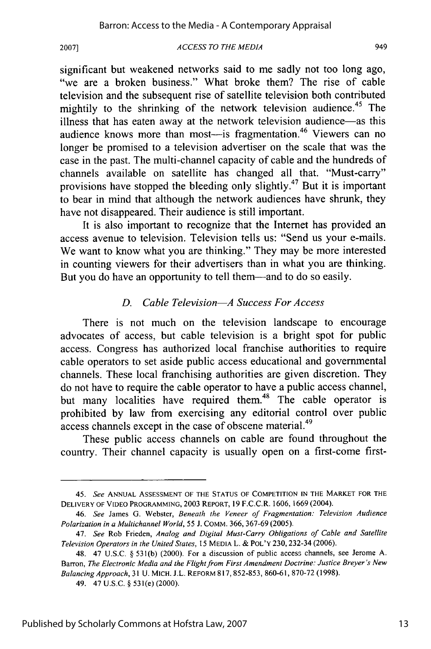#### *ACCESS TO THE MEDIA*

significant but weakened networks said to me sadly not too long ago, ''we are a broken business." What broke them? The rise of cable television and the subsequent rise of satellite television both contributed mightily to the shrinking of the network television audience.<sup>45</sup> The illness that has eaten away at the network television audience-as this audience knows more than most—is fragmentation.<sup>46</sup> Viewers can no longer be promised to a television advertiser on the scale that was the case in the past. The multi-channel capacity of cable and the hundreds of channels available on satellite has changed all that. "Must-carry" provisions have stopped the bleeding only slightly.47 But it is important to bear in mind that although the network audiences have shrunk, they have not disappeared. Their audience is still important.

It is also important to recognize that the Internet has provided an access avenue to television. Television tells us: "Send us your e-mails. We want to know what you are thinking." They may be more interested in counting viewers for their advertisers than in what you are thinking. But you do have an opportunity to tell them—and to do so easily.

## *D. Cable Television-A Success For Access*

There is not much on the television landscape to encourage advocates of access, but cable television is a bright spot for public access. Congress has authorized local franchise authorities to require cable operators to set aside public access educational and governmental channels. These local franchising authorities are given discretion. They do not have to require the cable operator to have a public access channel, but many localities have required them.<sup>48</sup> The cable operator is prohibited by law from exercising any editorial control over public access channels except in the case of obscene material.<sup>49</sup>

These public access channels on cable are found throughout the country. Their channel capacity is usually open on a first-come first-

<sup>45.</sup> *See* **ANNUAL** ASSESSMENT OF THE **STATUS** OF **COMPETITION IN** THE MARKET FOR THE DELIVERY OF **VIDEO** PROGRAMMING, 2003 REPORT, 19 F.C.C.R. 1606, 1669 (2004).

<sup>46.</sup> *See* James G. Webster, *Beneath the Veneer of Fragmentation: Television Audience Polarization in a Multichannel World,* 55 J. **COMM.** 366, 367-69 (2005).

<sup>47.</sup> *See* Rob Frieden, *Analog and Digital Must-Carry Obligations of Cable and Satellite Television Operators in the United States,* 15 **MEDIA** L. & POL'Y 230, 232-34 (2006).

<sup>48. 47</sup> U.S.C. § 53 1(b) (2000). For a discussion of public access channels, see Jerome A. Barron, *The Electronic Media and the Flight from First Amendment Doctrine: Justice Breyer's New Balancing Approach,* 31 U. MICH. J.L. REFORM 817, 852-853, 860-61, 870-72 (1998).

<sup>49. 47</sup> U.S.C. § 531(e) (2000).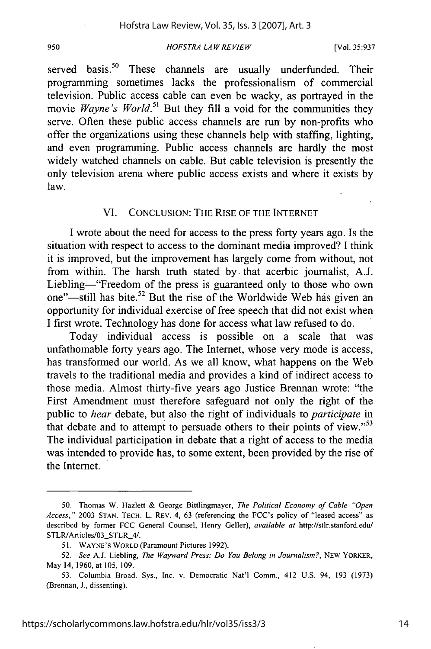#### **<sup>950</sup>** *HOFS TRA LA W RE VIEW* [Vol. **35:937**

served basis.<sup>50</sup> These channels are usually underfunded. Their programming sometimes lacks the professionalism of commercial television. Public access cable can even be wacky, as portrayed in the movie *Wayne's World*.<sup>51</sup> But they fill a void for the communities they serve. Often these public access channels are run by non-profits who offer the organizations using these channels help with staffing, lighting, and even programming. Public access channels are hardly the most widely watched channels on cable. But cable television is presently the only television arena where public access exists and where it exists by law.

## VI. CONCLUSION: THE RISE OF THE INTERNET

I wrote about the need for access to the press forty years ago. Is the situation with respect to access to the dominant media improved? I think it is improved, but the improvement has largely come from without, not from within. The harsh truth stated by. that acerbic journalist, A.J. Liebling—"Freedom of the press is guaranteed only to those who own one"-still has bite.<sup>52</sup> But the rise of the Worldwide Web has given an opportunity for individual exercise of free speech that did not exist when I first wrote. Technology has done for access what law refused to do.

Today individual access is possible on a scale that was unfathomable forty years ago. The Internet, whose very mode is access, has transformed our world. As we all know, what happens on the Web travels to the traditional media and provides a kind of indirect access to those media. Almost thirty-five years ago Justice Brennan wrote: "the First Amendment must therefore safeguard not only the right of the public to *hear* debate, but also the right of individuals to *participate* in that debate and to attempt to persuade others to their points of view." $53$ The individual participation in debate that a right of access to the media was intended to provide has, to some extent, been provided by the rise of the Internet.

<sup>50.</sup> Thomas W. Hazlett & George Bittlingmayer, *The Political Economy of Cable "Open Access,'"* 2003 STAN. TECH. L. REV. 4, 63 (referencing the FCC's policy of "leased access" as described by former FCC General Counsel, Henry Geller), *available at* http://stlr.stanford.edu/ STLR/Articles/03\_STLR\_4/.

<sup>51.</sup> WAYNE'S WORLD (Paramount Pictures 1992).

<sup>52.</sup> *See* A.J. Liebling, *The* Wayward *Press:* Do You *Belong in Journalism?,* NEW YORKER, May 14, 1960, at 105, 109.

<sup>53.</sup> Columbia Broad. Sys., Inc. v. Democratic Nat'l Comm., 412 U.S. 94, 193 (1973) (Brennan, **J.,** dissenting).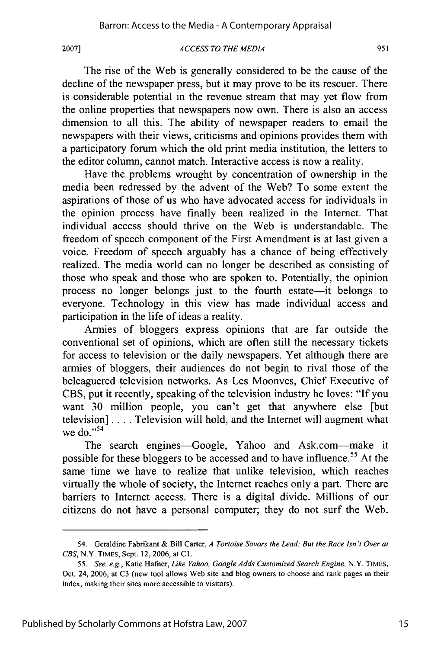#### *ACCESS TO THE MEDIA*

The rise of the Web is generally considered to be the cause of the decline of the newspaper press, but it may prove to be its rescuer. There is considerable potential in the revenue stream that may yet flow from the online properties that newspapers now own. There is also an access dimension to all this. The ability of newspaper readers to email the newspapers with their views, criticisms and opinions provides them with a participatory forum which the old print media institution, the letters to the editor column, cannot match. Interactive access is now a reality.

Have the problems wrought by concentration of ownership in the media been redressed by the advent of the Web? To some extent the aspirations of those of us who have advocated access for individuals in the opinion process have finally been realized in the Internet. That individual access should thrive on the Web is understandable. The freedom of speech component of the First Amendment is at last given a voice. Freedom of speech arguably has a chance of being effectively realized. The media world can no longer be described as consisting of those who speak and those who are spoken to. Potentially, the opinion process no longer belongs just to the fourth estate-it belongs to everyone. Technology in this view has made individual access and participation in the life of ideas a reality.

Armies of bloggers express opinions that are far outside the conventional set of opinions, which are often still the necessary tickets for access to television or the daily newspapers. Yet although there are armies of bloggers, their audiences do not begin to rival those of the beleaguered television networks. As Les Moonves, Chief Executive of CBS, put it recently, speaking of the television industry he loves: "If you want 30 million people, you can't get that anywhere else [but television] .... Television will hold, and the Internet will augment what we do."<sup>54</sup>

The search engines-Google, Yahoo and Ask.com-make it possible for these bloggers to be accessed and to have influence.<sup>55</sup> At the same time we have to realize that unlike television, which reaches virtually the whole of society, the Internet reaches only a part. There are barriers to Internet access. There is a digital divide. Millions of our citizens do not have a personal computer; they do not surf the Web.

<sup>54.</sup> Geraldine Fabrikant & Bill Carter, *A* Tortoise Savors the *Lead: But the Race Isn* **'t** *Over at CBS,* N.Y. TIMES, Sept. 12, 2006, at **C1.**

*<sup>55.</sup> See,* e.g., Katie Hafner, *Like Yahoo, Google Adds Customized Search Engine,* N.Y. TIMES, Oct. 24, 2006, at C3 (new tool allows Web site and blog owners to choose and rank pages in their index, making their sites more accessible to visitors).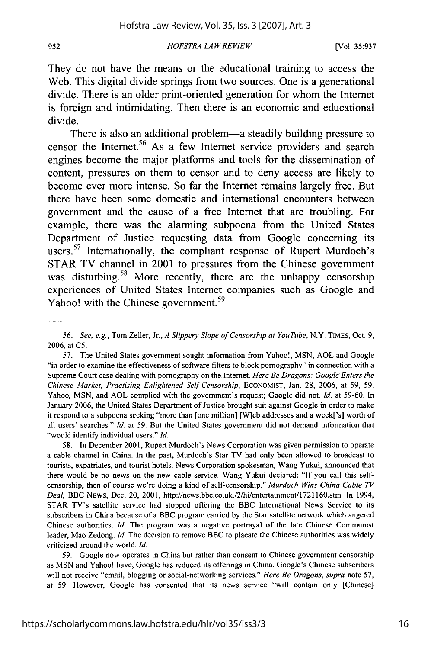They do not have the means or the educational training to access the Web. This digital divide springs from two sources. One is a generational divide. There is an older print-oriented generation for whom the Internet is foreign and intimidating. Then there is an economic and educational divide.

There is also an additional problem—a steadily building pressure to censor the Internet.<sup>56</sup> As a few Internet service providers and search engines become the major platforms and tools for the dissemination of content, pressures on them to censor and to deny access are likely to become ever more intense. So far the Internet remains largely free. But there have been some domestic and international encounters between government and the cause of a free Internet that are troubling. For example, there was the alarming subpoena from the United States Department of Justice requesting data from Google concerning its users.<sup>57</sup> Internationally, the compliant response of Rupert Murdoch's STAR TV channel in 2001 to pressures from the Chinese government was disturbing.<sup>58</sup> More recently, there are the unhappy censorship experiences of United States Internet companies such as Google and Yahoo! with the Chinese government.<sup>59</sup>

58. In December 2001, Rupert Murdoch's News Corporation was given permission to operate a cable channel in China. In the past, Murdoch's Star TV had only been allowed to broadcast to tourists, expatriates, and tourist hotels. News Corporation spokesman, Wang Yukui, announced that there would be no news on the new cable service. Wang Yukui declared: "If you call this selfcensorship, then of course we're doing a kind of self-censorship." *Murdoch Wins China Cable TV Deal,* BBC NEWS, Dec. 20, 2001, http://news.bbc.co.uk./2/hi/entertainment/1721160.stm. In 1994, STAR TV's satellite service had stopped offering the BBC International News Service to its subscribers in China because of a BBC program carried by the Star satellite network which angered Chinese authorities. *Id.* The program was a negative portrayal of the late Chinese Communist leader, Mao Zedong. *Id.* The decision to remove BBC to placate the Chinese authorities was widely criticized around the world. *Id.*

59. Google now operates in China but rather than consent to Chinese government censorship as MSN and Yahoo! have, Google has reduced its offerings in China. Google's Chinese subscribers will not receive "email, blogging or social-networking services." *Here Be Dragons, supra* note 57, at 59. However, Google has consented that its news service "will contain only [Chinese]

*<sup>56.</sup> See, e.g.,* Tom Zeller, Jr., *A Slippery Slope of Censorship at You Tube,* N.Y. TIMES, Oct. 9, 2006, at C5.

<sup>57.</sup> The United States government sought information from Yahoo!, MSN, AOL and Google "in order to examine the effectiveness of software filters to block pornography" in connection with a Supreme Court case dealing with pornography on the Internet. *Here Be Dragons: Google Enters the Chinese Market, Practising Enlightened Self-Censorship,* ECONOMIST, Jan. 28, 2006, at 59, 59. Yahoo, MSN, and AOL complied with the government's request; Google did not. *Id.* at 59-60. In January 2006, the United States Department of Justice brought suit against Google in order to make it respond to a subpoena seeking "more than [one million] [W]eb addresses and a week['s] worth of all users' searches." *Id.* at 59. But the United States government did not demand information that "would identify individual users." *Id.*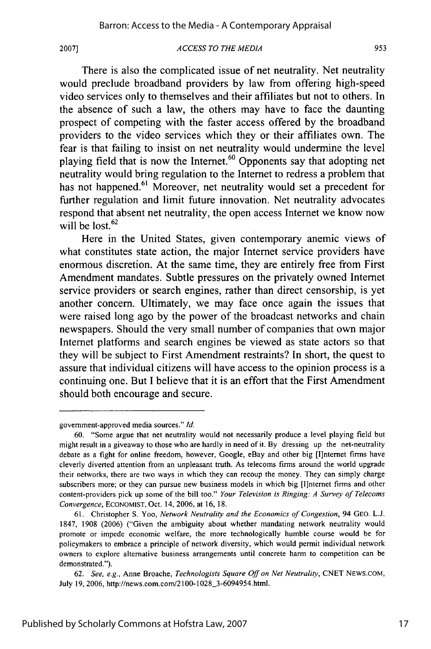#### *ACCESS TO THE MEDIA*

There is also the complicated issue of net neutrality. Net neutrality would preclude broadband providers by law from offering high-speed video services only to themselves and their affiliates but not to others. In the absence of such a law, the others may have to face the daunting prospect of competing with the faster access offered by the broadband providers to the video services which they or their affiliates own. The fear is that failing to insist on net neutrality would undermine the level playing field that is now the Internet. $60$  Opponents say that adopting net neutrality would bring regulation to the Internet to redress a problem that has not happened.<sup>61</sup> Moreover, net neutrality would set a precedent for further regulation and limit future innovation. Net neutrality advocates respond that absent net neutrality, the open access Internet we know now will be lost. $62$ 

Here in the United States, given contemporary anemic views of what constitutes state action, the major Internet service providers have enormous discretion. At the same time, they are entirely free from First Amendment mandates. Subtle pressures on the privately owned Internet service providers or search engines, rather than direct censorship, is yet another concern. Ultimately, we may face once again the issues that were raised long ago by the power of the broadcast networks and chain newspapers. Should the very small number of companies that own major Internet platforms and search engines be viewed as state actors so that they will be subject to First Amendment restraints? In short, the quest to assure that individual citizens will have access to the opinion process is a continuing one. But I believe that it is an effort that the First Amendment should both encourage and secure.

government-approved media sources." *Id.*

<sup>60. &</sup>quot;Some argue that net neutrality would not necessarily produce a level playing field but might result in a giveaway to those who are hardly in need of it. By dressing up the net-neutrality debate as a fight for online freedom, however, Google, eBay and other big [l]ntemet firms have cleverly diverted attention from an unpleasant truth. As telecoms firms around the world upgrade their networks, there are two ways in which they can recoup the money. They can simply charge subscribers more; or they can pursue new business models in which big [l]nternet firms and other content-providers pick up some of the bill too." *Your Television is Ringing: A Survey of Telecoms Convergence,* ECONOMIST, Oct. 14, 2006, at 16, 18.

<sup>61.</sup> Christopher **S.** Yoo, *Network Neutrality and the Economics of Congestion,* 94 GEO. L.J. 1847, 1908 (2006) ("Given the ambiguity about whether mandating network neutrality would promote or impede economic welfare, the more technologically humble course would be for policymakers to embrace a principle of network diversity, which would permit individual network owners to explore alternative business arrangements until concrete harm to competition can be demonstrated.").

<sup>62.</sup> *See, e.g.,* Anne Broache, *Technologists Square Off on Net Neutrality,* CNET NEWS.COM, July 19, 2006, http://news.com.com/2100-1028\_3-6094954.html.